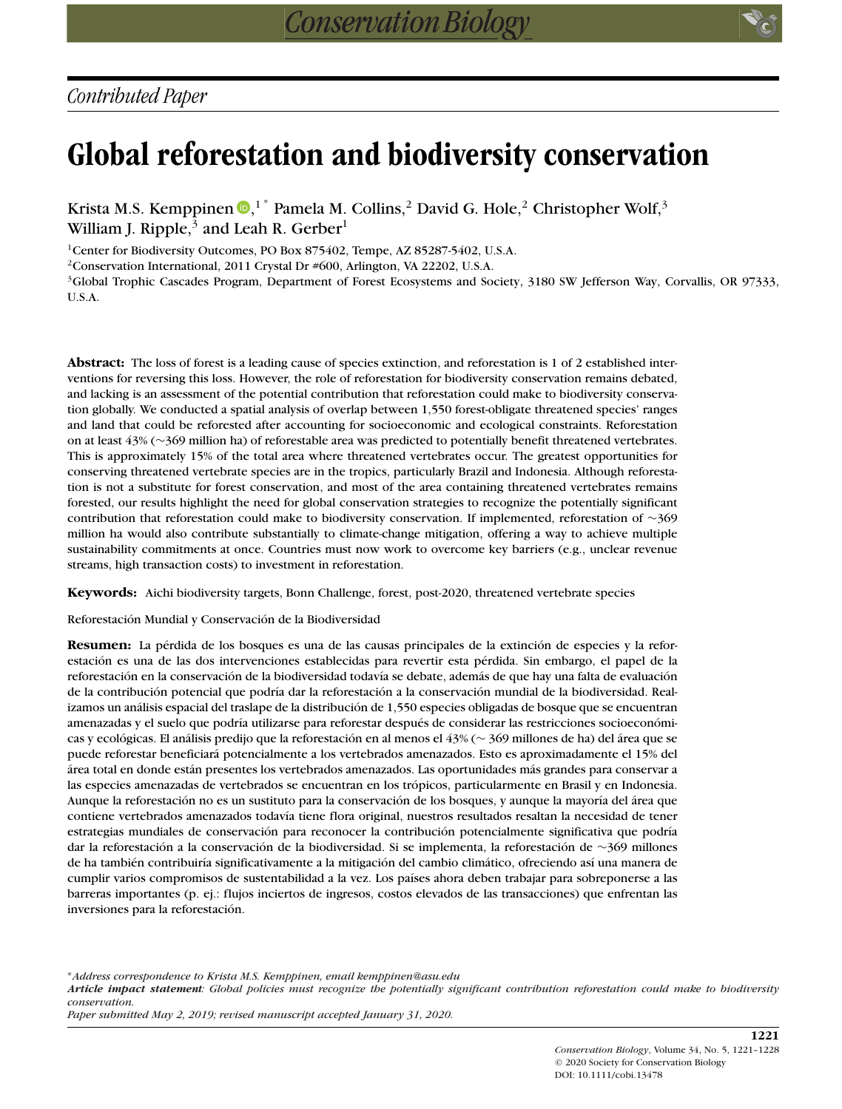# **Global reforestation and biodiversity conservation**

Krista M.S. Kemppinen  $\mathbf{D},^{1\,*}$  $\mathbf{D},^{1\,*}$  $\mathbf{D},^{1\,*}$  Pamela M. Collins, $^2$  David G. Hole, $^2$  Christopher Wolf, $^3$ William J. Ripple, $3$  and Leah R. Gerber<sup>1</sup>

<sup>1</sup>Center for Biodiversity Outcomes, PO Box 875402, Tempe, AZ 85287-5402, U.S.A.

<sup>2</sup> Conservation International, 2011 Crystal Dr #600, Arlington, VA 22202, U.S.A.

<sup>3</sup>Global Trophic Cascades Program, Department of Forest Ecosystems and Society, 3180 SW Jefferson Way, Corvallis, OR 97333, U.S.A.

**Abstract:** The loss of forest is a leading cause of species extinction, and reforestation is 1 of 2 established interventions for reversing this loss. However, the role of reforestation for biodiversity conservation remains debated, and lacking is an assessment of the potential contribution that reforestation could make to biodiversity conservation globally. We conducted a spatial analysis of overlap between 1,550 forest-obligate threatened species' ranges and land that could be reforested after accounting for socioeconomic and ecological constraints. Reforestation on at least 43% (∼369 million ha) of reforestable area was predicted to potentially benefit threatened vertebrates. This is approximately 15% of the total area where threatened vertebrates occur. The greatest opportunities for conserving threatened vertebrate species are in the tropics, particularly Brazil and Indonesia. Although reforestation is not a substitute for forest conservation, and most of the area containing threatened vertebrates remains forested, our results highlight the need for global conservation strategies to recognize the potentially significant contribution that reforestation could make to biodiversity conservation. If implemented, reforestation of ∼369 million ha would also contribute substantially to climate-change mitigation, offering a way to achieve multiple sustainability commitments at once. Countries must now work to overcome key barriers (e.g., unclear revenue streams, high transaction costs) to investment in reforestation.

**Keywords:** Aichi biodiversity targets, Bonn Challenge, forest, post-2020, threatened vertebrate species

Reforestación Mundial y Conservación de la Biodiversidad

**Resumen:** La pérdida de los bosques es una de las causas principales de la extinción de especies y la reforestación es una de las dos intervenciones establecidas para revertir esta pérdida. Sin embargo, el papel de la reforestación en la conservación de la biodiversidad todavía se debate, además de que hay una falta de evaluación de la contribución potencial que podría dar la reforestación a la conservación mundial de la biodiversidad. Realizamos un análisis espacial del traslape de la distribución de 1,550 especies obligadas de bosque que se encuentran amenazadas y el suelo que podría utilizarse para reforestar después de considerar las restricciones socioeconómicas y ecológicas. El análisis predijo que la reforestación en al menos el 43% (∼ 369 millones de ha) del área que se puede reforestar beneficiará potencialmente a los vertebrados amenazados. Esto es aproximadamente el 15% del área total en donde están presentes los vertebrados amenazados. Las oportunidades más grandes para conservar a las especies amenazadas de vertebrados se encuentran en los trópicos, particularmente en Brasil y en Indonesia. Aunque la reforestación no es un sustituto para la conservación de los bosques, y aunque la mayoría del área que contiene vertebrados amenazados todavía tiene flora original, nuestros resultados resaltan la necesidad de tener estrategias mundiales de conservación para reconocer la contribución potencialmente significativa que podría dar la reforestación a la conservación de la biodiversidad. Si se implementa, la reforestación de ∼369 millones de ha también contribuiría significativamente a la mitigación del cambio climático, ofreciendo así una manera de cumplir varios compromisos de sustentabilidad a la vez. Los países ahora deben trabajar para sobreponerse a las barreras importantes (p. ej.: flujos inciertos de ingresos, costos elevados de las transacciones) que enfrentan las inversiones para la reforestación.

∗*Address correspondence to Krista M.S. Kemppinen, email kemppinen@asu.edu*

*Article impact statement: Global policies must recognize the potentially significant contribution reforestation could make to biodiversity conservation.*

*Paper submitted May 2, 2019; revised manuscript accepted January 31, 2020.*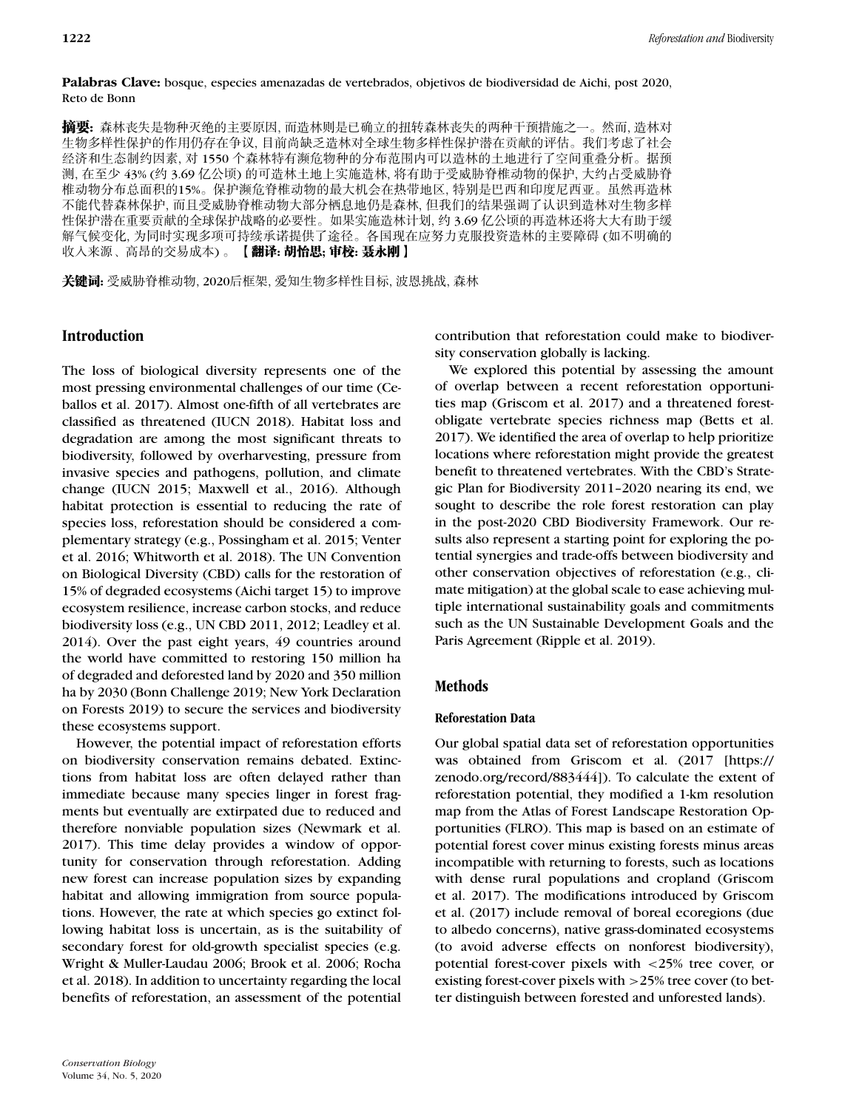#### **Palabras Clave:** bosque, especies amenazadas de vertebrados, objetivos de biodiversidad de Aichi, post 2020, Reto de Bonn

**摘要:** 森林丧失是物种灭绝的主要原因, 而造林则是已确立的扭转森林丧失的两种干预措施之一。然而, 造林对 生物多样性保护的作用仍存在争议, 目前尚缺乏造林对全球生物多样性保护潜在贡献的评估。我们考虑了社会 经济和生态制约因素, 对 1550 个森林特有濒危物种的分布范围内可以造林的土地进行了空间重叠分析。据预 测, 在至少 43% (约 3.69 亿公顷) 的可造林土地上实施造林, 将有助于受威胁脊椎动物的保护, 大约占受威胁脊 椎动物分布总面积的15%。保护濒危脊椎动物的最大机会在热带地区, 特别是巴西和印度尼西亚。虽然再造林 不能代替森林保护, 而且受威胁脊椎动物大部分栖息地仍是森林, 但我们的结果强调了认识到造林对生物多样 性保护潜在重要贡献的全球保护战略的必要性。如果实施造林计划, 约 3.69 亿公顷的再造林还将大大有助于缓 解气候变化, 为同时实现多项可持续承诺提供了途径。各国现在应努力克服投资造林的主要障碍 (如不明确的 收入来源、高昂的交易成本)。【翻译:胡怡思;审校:聂永刚】

关键词: 受威胁脊椎动物, 2020后框架, 爱知生物多样性目标, 波恩挑战, 森林

## **Introduction**

The loss of biological diversity represents one of the most pressing environmental challenges of our time (Ceballos et al. 2017). Almost one-fifth of all vertebrates are classified as threatened (IUCN 2018). Habitat loss and degradation are among the most significant threats to biodiversity, followed by overharvesting, pressure from invasive species and pathogens, pollution, and climate change (IUCN 2015; Maxwell et al., 2016). Although habitat protection is essential to reducing the rate of species loss, reforestation should be considered a complementary strategy (e.g., Possingham et al. 2015; Venter et al. 2016; Whitworth et al. 2018). The UN Convention on Biological Diversity (CBD) calls for the restoration of 15% of degraded ecosystems (Aichi target 15) to improve ecosystem resilience, increase carbon stocks, and reduce biodiversity loss (e.g., UN CBD 2011, 2012; Leadley et al. 2014). Over the past eight years, 49 countries around the world have committed to restoring 150 million ha of degraded and deforested land by 2020 and 350 million ha by 2030 (Bonn Challenge 2019; New York Declaration on Forests 2019) to secure the services and biodiversity these ecosystems support.

However, the potential impact of reforestation efforts on biodiversity conservation remains debated. Extinctions from habitat loss are often delayed rather than immediate because many species linger in forest fragments but eventually are extirpated due to reduced and therefore nonviable population sizes (Newmark et al. 2017). This time delay provides a window of opportunity for conservation through reforestation. Adding new forest can increase population sizes by expanding habitat and allowing immigration from source populations. However, the rate at which species go extinct following habitat loss is uncertain, as is the suitability of secondary forest for old-growth specialist species (e.g. Wright & Muller-Laudau 2006; Brook et al. 2006; Rocha et al. 2018). In addition to uncertainty regarding the local benefits of reforestation, an assessment of the potential

contribution that reforestation could make to biodiversity conservation globally is lacking.

We explored this potential by assessing the amount of overlap between a recent reforestation opportunities map (Griscom et al. 2017) and a threatened forestobligate vertebrate species richness map (Betts et al. 2017). We identified the area of overlap to help prioritize locations where reforestation might provide the greatest benefit to threatened vertebrates. With the CBD's Strategic Plan for Biodiversity 2011–2020 nearing its end, we sought to describe the role forest restoration can play in the post-2020 CBD Biodiversity Framework. Our results also represent a starting point for exploring the potential synergies and trade-offs between biodiversity and other conservation objectives of reforestation (e.g., climate mitigation) at the global scale to ease achieving multiple international sustainability goals and commitments such as the UN Sustainable Development Goals and the Paris Agreement (Ripple et al. 2019).

# **Methods**

## **Reforestation Data**

Our global spatial data set of reforestation opportunities was obtained from Griscom et al. (2017 [\[https://](https://zenodo.org/record/883444) [zenodo.org/record/883444\]](https://zenodo.org/record/883444)). To calculate the extent of reforestation potential, they modified a 1-km resolution map from the Atlas of Forest Landscape Restoration Opportunities (FLRO). This map is based on an estimate of potential forest cover minus existing forests minus areas incompatible with returning to forests, such as locations with dense rural populations and cropland (Griscom et al. 2017). The modifications introduced by Griscom et al. (2017) include removal of boreal ecoregions (due to albedo concerns), native grass-dominated ecosystems (to avoid adverse effects on nonforest biodiversity), potential forest-cover pixels with *<*25% tree cover, or existing forest-cover pixels with *>*25% tree cover (to better distinguish between forested and unforested lands).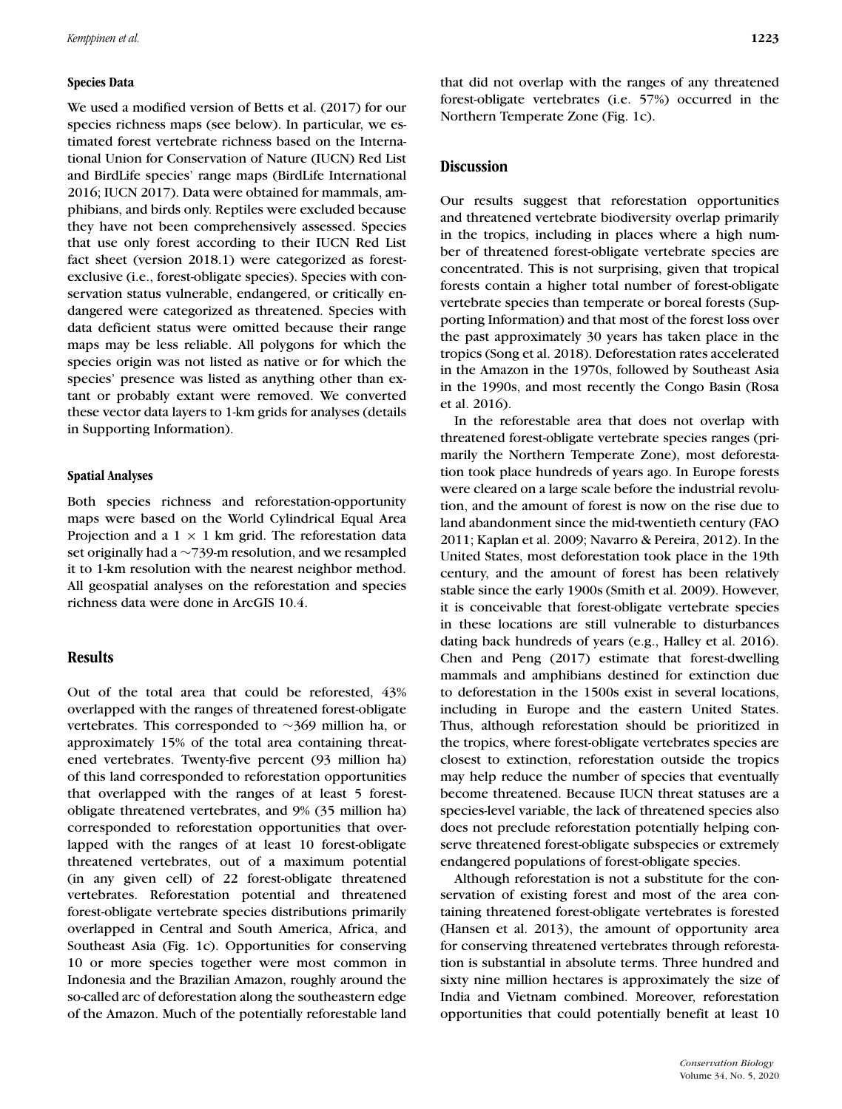#### **Species Data**

We used a modified version of Betts et al. (2017) for our species richness maps (see below). In particular, we estimated forest vertebrate richness based on the International Union for Conservation of Nature (IUCN) Red List and BirdLife species' range maps (BirdLife International 2016; IUCN 2017). Data were obtained for mammals, amphibians, and birds only. Reptiles were excluded because they have not been comprehensively assessed. Species that use only forest according to their IUCN Red List fact sheet (version 2018.1) were categorized as forestexclusive (i.e., forest-obligate species). Species with conservation status vulnerable, endangered, or critically endangered were categorized as threatened. Species with data deficient status were omitted because their range maps may be less reliable. All polygons for which the species origin was not listed as native or for which the species' presence was listed as anything other than extant or probably extant were removed. We converted these vector data layers to 1-km grids for analyses (details in Supporting Information).

#### **Spatial Analyses**

Both species richness and reforestation-opportunity maps were based on the World Cylindrical Equal Area Projection and a  $1 \times 1$  km grid. The reforestation data set originally had a ∼739-m resolution, and we resampled it to 1-km resolution with the nearest neighbor method. All geospatial analyses on the reforestation and species richness data were done in ArcGIS 10.4.

#### **Results**

Out of the total area that could be reforested, 43% overlapped with the ranges of threatened forest-obligate vertebrates. This corresponded to ∼369 million ha, or approximately 15% of the total area containing threatened vertebrates. Twenty-five percent (93 million ha) of this land corresponded to reforestation opportunities that overlapped with the ranges of at least 5 forestobligate threatened vertebrates, and 9% (35 million ha) corresponded to reforestation opportunities that overlapped with the ranges of at least 10 forest-obligate threatened vertebrates, out of a maximum potential (in any given cell) of 22 forest-obligate threatened vertebrates. Reforestation potential and threatened forest-obligate vertebrate species distributions primarily overlapped in Central and South America, Africa, and Southeast Asia (Fig. 1c). Opportunities for conserving 10 or more species together were most common in Indonesia and the Brazilian Amazon, roughly around the so-called arc of deforestation along the southeastern edge of the Amazon. Much of the potentially reforestable land that did not overlap with the ranges of any threatened forest-obligate vertebrates (i.e. 57%) occurred in the Northern Temperate Zone (Fig. 1c).

#### **Discussion**

Our results suggest that reforestation opportunities and threatened vertebrate biodiversity overlap primarily in the tropics, including in places where a high number of threatened forest-obligate vertebrate species are concentrated. This is not surprising, given that tropical forests contain a higher total number of forest-obligate vertebrate species than temperate or boreal forests (Supporting Information) and that most of the forest loss over the past approximately 30 years has taken place in the tropics (Song et al. 2018). Deforestation rates accelerated in the Amazon in the 1970s, followed by Southeast Asia in the 1990s, and most recently the Congo Basin (Rosa et al. 2016).

In the reforestable area that does not overlap with threatened forest-obligate vertebrate species ranges (primarily the Northern Temperate Zone), most deforestation took place hundreds of years ago. In Europe forests were cleared on a large scale before the industrial revolution, and the amount of forest is now on the rise due to land abandonment since the mid-twentieth century (FAO 2011; Kaplan et al. 2009; Navarro & Pereira, 2012). In the United States, most deforestation took place in the 19th century, and the amount of forest has been relatively stable since the early 1900s (Smith et al. 2009). However, it is conceivable that forest-obligate vertebrate species in these locations are still vulnerable to disturbances dating back hundreds of years (e.g., Halley et al. 2016). Chen and Peng (2017) estimate that forest-dwelling mammals and amphibians destined for extinction due to deforestation in the 1500s exist in several locations, including in Europe and the eastern United States. Thus, although reforestation should be prioritized in the tropics, where forest-obligate vertebrates species are closest to extinction, reforestation outside the tropics may help reduce the number of species that eventually become threatened. Because IUCN threat statuses are a species-level variable, the lack of threatened species also does not preclude reforestation potentially helping conserve threatened forest-obligate subspecies or extremely endangered populations of forest-obligate species.

Although reforestation is not a substitute for the conservation of existing forest and most of the area containing threatened forest-obligate vertebrates is forested (Hansen et al. 2013), the amount of opportunity area for conserving threatened vertebrates through reforestation is substantial in absolute terms. Three hundred and sixty nine million hectares is approximately the size of India and Vietnam combined. Moreover, reforestation opportunities that could potentially benefit at least 10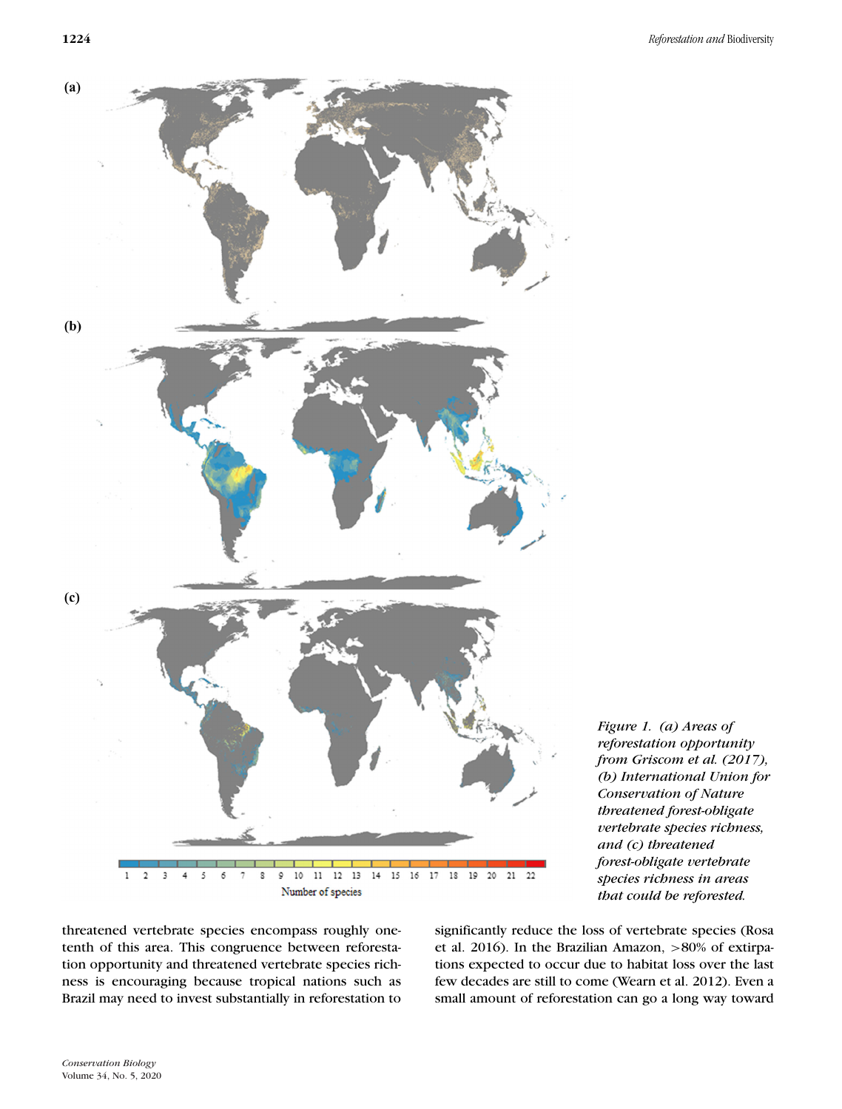

*Figure 1. (a) Areas of reforestation opportunity from Griscom et al. (2017), (b) International Union for Conservation of Nature threatened forest-obligate vertebrate species richness, and (c) threatened forest-obligate vertebrate species richness in areas that could be reforested.*

threatened vertebrate species encompass roughly onetenth of this area. This congruence between reforestation opportunity and threatened vertebrate species richness is encouraging because tropical nations such as Brazil may need to invest substantially in reforestation to significantly reduce the loss of vertebrate species (Rosa et al. 2016). In the Brazilian Amazon, *>*80% of extirpations expected to occur due to habitat loss over the last few decades are still to come (Wearn et al. 2012). Even a small amount of reforestation can go a long way toward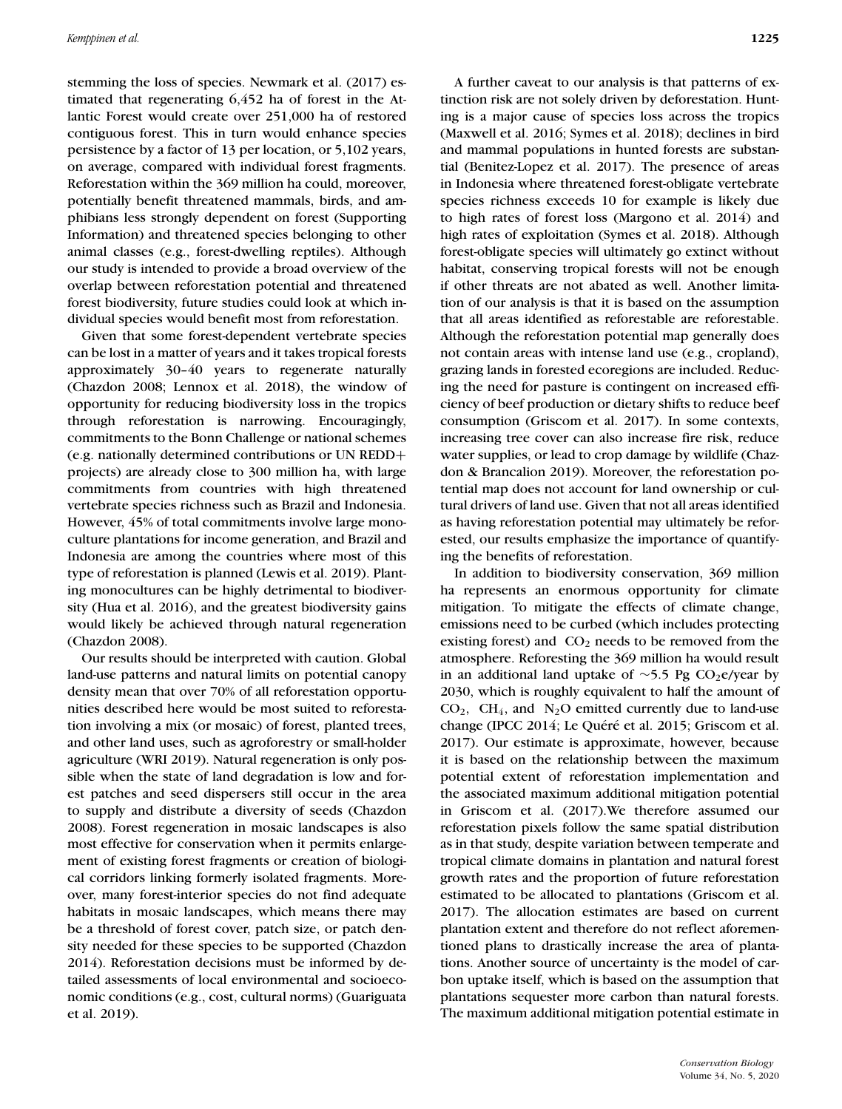stemming the loss of species. Newmark et al. (2017) estimated that regenerating 6,452 ha of forest in the Atlantic Forest would create over 251,000 ha of restored contiguous forest. This in turn would enhance species persistence by a factor of 13 per location, or 5,102 years, on average, compared with individual forest fragments. Reforestation within the 369 million ha could, moreover, potentially benefit threatened mammals, birds, and amphibians less strongly dependent on forest (Supporting Information) and threatened species belonging to other animal classes (e.g., forest-dwelling reptiles). Although our study is intended to provide a broad overview of the overlap between reforestation potential and threatened forest biodiversity, future studies could look at which individual species would benefit most from reforestation.

Given that some forest-dependent vertebrate species can be lost in a matter of years and it takes tropical forests approximately 30–40 years to regenerate naturally (Chazdon 2008; Lennox et al. 2018), the window of opportunity for reducing biodiversity loss in the tropics through reforestation is narrowing. Encouragingly, commitments to the Bonn Challenge or national schemes (e.g. nationally determined contributions or UN REDD+ projects) are already close to 300 million ha, with large commitments from countries with high threatened vertebrate species richness such as Brazil and Indonesia. However, 45% of total commitments involve large monoculture plantations for income generation, and Brazil and Indonesia are among the countries where most of this type of reforestation is planned (Lewis et al. 2019). Planting monocultures can be highly detrimental to biodiversity (Hua et al. 2016), and the greatest biodiversity gains would likely be achieved through natural regeneration (Chazdon 2008).

Our results should be interpreted with caution. Global land-use patterns and natural limits on potential canopy density mean that over 70% of all reforestation opportunities described here would be most suited to reforestation involving a mix (or mosaic) of forest, planted trees, and other land uses, such as agroforestry or small-holder agriculture (WRI 2019). Natural regeneration is only possible when the state of land degradation is low and forest patches and seed dispersers still occur in the area to supply and distribute a diversity of seeds (Chazdon 2008). Forest regeneration in mosaic landscapes is also most effective for conservation when it permits enlargement of existing forest fragments or creation of biological corridors linking formerly isolated fragments. Moreover, many forest-interior species do not find adequate habitats in mosaic landscapes, which means there may be a threshold of forest cover, patch size, or patch density needed for these species to be supported (Chazdon 2014). Reforestation decisions must be informed by detailed assessments of local environmental and socioeconomic conditions (e.g., cost, cultural norms) (Guariguata et al. 2019).

A further caveat to our analysis is that patterns of extinction risk are not solely driven by deforestation. Hunting is a major cause of species loss across the tropics (Maxwell et al. 2016; Symes et al. 2018); declines in bird and mammal populations in hunted forests are substantial (Benitez-Lopez et al. 2017). The presence of areas in Indonesia where threatened forest-obligate vertebrate species richness exceeds 10 for example is likely due to high rates of forest loss (Margono et al. 2014) and high rates of exploitation (Symes et al. 2018). Although forest-obligate species will ultimately go extinct without habitat, conserving tropical forests will not be enough if other threats are not abated as well. Another limitation of our analysis is that it is based on the assumption that all areas identified as reforestable are reforestable. Although the reforestation potential map generally does not contain areas with intense land use (e.g., cropland), grazing lands in forested ecoregions are included. Reducing the need for pasture is contingent on increased efficiency of beef production or dietary shifts to reduce beef consumption (Griscom et al. 2017). In some contexts, increasing tree cover can also increase fire risk, reduce water supplies, or lead to crop damage by wildlife (Chazdon & Brancalion 2019). Moreover, the reforestation potential map does not account for land ownership or cultural drivers of land use. Given that not all areas identified as having reforestation potential may ultimately be reforested, our results emphasize the importance of quantifying the benefits of reforestation.

In addition to biodiversity conservation, 369 million ha represents an enormous opportunity for climate mitigation. To mitigate the effects of climate change, emissions need to be curbed (which includes protecting existing forest) and  $CO<sub>2</sub>$  needs to be removed from the atmosphere. Reforesting the 369 million ha would result in an additional land uptake of ~5.5 Pg CO2e/year by 2030, which is roughly equivalent to half the amount of  $CO<sub>2</sub>$ ,  $CH<sub>4</sub>$ , and  $N<sub>2</sub>O$  emitted currently due to land-use change (IPCC 2014; Le Quéré et al. 2015; Griscom et al. 2017). Our estimate is approximate, however, because it is based on the relationship between the maximum potential extent of reforestation implementation and the associated maximum additional mitigation potential in Griscom et al. (2017).We therefore assumed our reforestation pixels follow the same spatial distribution as in that study, despite variation between temperate and tropical climate domains in plantation and natural forest growth rates and the proportion of future reforestation estimated to be allocated to plantations (Griscom et al. 2017). The allocation estimates are based on current plantation extent and therefore do not reflect aforementioned plans to drastically increase the area of plantations. Another source of uncertainty is the model of carbon uptake itself, which is based on the assumption that plantations sequester more carbon than natural forests. The maximum additional mitigation potential estimate in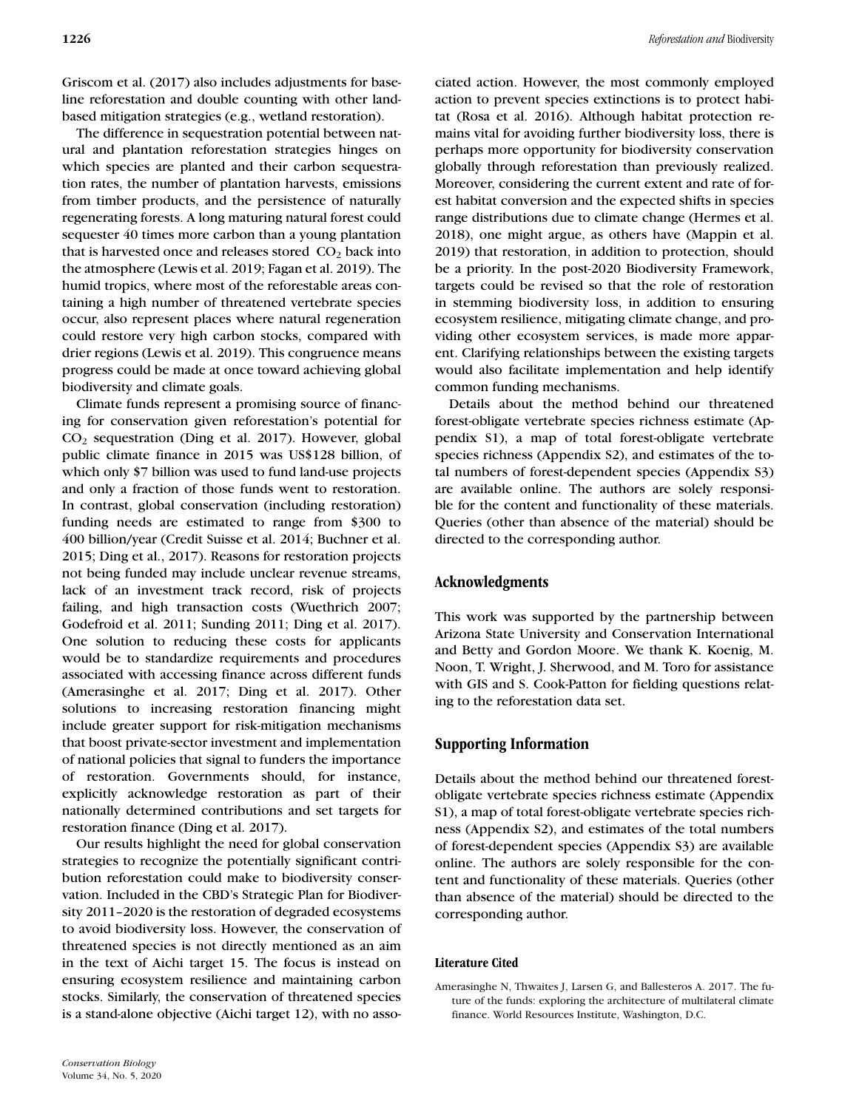Griscom et al. (2017) also includes adjustments for baseline reforestation and double counting with other landbased mitigation strategies (e.g., wetland restoration).

The difference in sequestration potential between natural and plantation reforestation strategies hinges on which species are planted and their carbon sequestration rates, the number of plantation harvests, emissions from timber products, and the persistence of naturally regenerating forests. A long maturing natural forest could sequester 40 times more carbon than a young plantation that is harvested once and releases stored  $CO<sub>2</sub>$  back into the atmosphere (Lewis et al. 2019; Fagan et al. 2019). The humid tropics, where most of the reforestable areas containing a high number of threatened vertebrate species occur, also represent places where natural regeneration could restore very high carbon stocks, compared with drier regions (Lewis et al. 2019). This congruence means progress could be made at once toward achieving global biodiversity and climate goals.

Climate funds represent a promising source of financing for conservation given reforestation's potential for CO2 sequestration (Ding et al. 2017). However, global public climate finance in 2015 was US\$128 billion, of which only \$7 billion was used to fund land-use projects and only a fraction of those funds went to restoration. In contrast, global conservation (including restoration) funding needs are estimated to range from \$300 to 400 billion/year (Credit Suisse et al. 2014; Buchner et al. 2015; Ding et al., 2017). Reasons for restoration projects not being funded may include unclear revenue streams, lack of an investment track record, risk of projects failing, and high transaction costs (Wuethrich 2007; Godefroid et al. 2011; Sunding 2011; Ding et al. 2017). One solution to reducing these costs for applicants would be to standardize requirements and procedures associated with accessing finance across different funds (Amerasinghe et al. 2017; Ding et al. 2017). Other solutions to increasing restoration financing might include greater support for risk-mitigation mechanisms that boost private-sector investment and implementation of national policies that signal to funders the importance of restoration. Governments should, for instance, explicitly acknowledge restoration as part of their nationally determined contributions and set targets for restoration finance (Ding et al. 2017).

Our results highlight the need for global conservation strategies to recognize the potentially significant contribution reforestation could make to biodiversity conservation. Included in the CBD's Strategic Plan for Biodiversity 2011–2020 is the restoration of degraded ecosystems to avoid biodiversity loss. However, the conservation of threatened species is not directly mentioned as an aim in the text of Aichi target 15. The focus is instead on ensuring ecosystem resilience and maintaining carbon stocks. Similarly, the conservation of threatened species is a stand-alone objective (Aichi target 12), with no associated action. However, the most commonly employed action to prevent species extinctions is to protect habitat (Rosa et al. 2016). Although habitat protection remains vital for avoiding further biodiversity loss, there is perhaps more opportunity for biodiversity conservation globally through reforestation than previously realized. Moreover, considering the current extent and rate of forest habitat conversion and the expected shifts in species range distributions due to climate change (Hermes et al. 2018), one might argue, as others have (Mappin et al. 2019) that restoration, in addition to protection, should be a priority. In the post-2020 Biodiversity Framework, targets could be revised so that the role of restoration in stemming biodiversity loss, in addition to ensuring ecosystem resilience, mitigating climate change, and providing other ecosystem services, is made more apparent. Clarifying relationships between the existing targets would also facilitate implementation and help identify common funding mechanisms.

Details about the method behind our threatened forest-obligate vertebrate species richness estimate (Appendix S1), a map of total forest-obligate vertebrate species richness (Appendix S2), and estimates of the total numbers of forest-dependent species (Appendix S3) are available online. The authors are solely responsible for the content and functionality of these materials. Queries (other than absence of the material) should be directed to the corresponding author.

#### **Acknowledgments**

This work was supported by the partnership between Arizona State University and Conservation International and Betty and Gordon Moore. We thank K. Koenig, M. Noon, T. Wright, J. Sherwood, and M. Toro for assistance with GIS and S. Cook-Patton for fielding questions relating to the reforestation data set.

## **Supporting Information**

Details about the method behind our threatened forestobligate vertebrate species richness estimate (Appendix S1), a map of total forest-obligate vertebrate species richness (Appendix S2), and estimates of the total numbers of forest-dependent species (Appendix S3) are available online. The authors are solely responsible for the content and functionality of these materials. Queries (other than absence of the material) should be directed to the corresponding author.

#### **Literature Cited**

Amerasinghe N, Thwaites J, Larsen G, and Ballesteros A. 2017. The future of the funds: exploring the architecture of multilateral climate finance. World Resources Institute, Washington, D.C.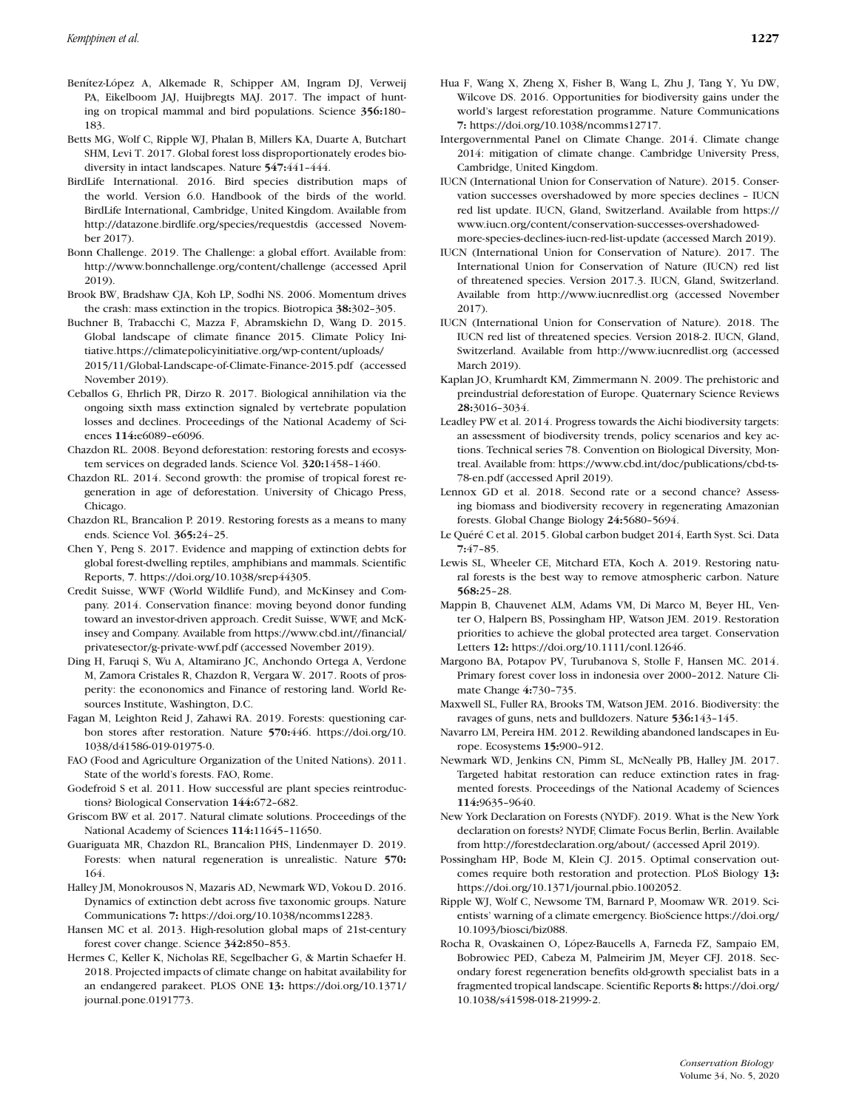- Benítez-López A, Alkemade R, Schipper AM, Ingram DJ, Verweij PA, Eikelboom JAJ, Huijbregts MAJ. 2017. The impact of hunting on tropical mammal and bird populations. Science **356:**180– 183.
- Betts MG, Wolf C, Ripple WJ, Phalan B, Millers KA, Duarte A, Butchart SHM, Levi T. 2017. Global forest loss disproportionately erodes biodiversity in intact landscapes. Nature **547:**441–444.
- BirdLife International. 2016. Bird species distribution maps of the world. Version 6.0. Handbook of the birds of the world. BirdLife International, Cambridge, United Kingdom. Available from <http://datazone.birdlife.org/species/requestdis> (accessed November 2017).
- Bonn Challenge. 2019. The Challenge: a global effort. Available from: <http://www.bonnchallenge.org/content/challenge> (accessed April 2019).
- Brook BW, Bradshaw CJA, Koh LP, Sodhi NS. 2006. Momentum drives the crash: mass extinction in the tropics. Biotropica **38:**302–305.
- Buchner B, Trabacchi C, Mazza F, Abramskiehn D, Wang D. 2015. Global landscape of climate finance 2015. Climate Policy Initiative[.https://climatepolicyinitiative.org/wp-content/uploads/](https://climatepolicyinitiative.org/wp-content/uploads/2015/11/Global-Landscape-of-Climate-Finance-2015.pdf) [2015/11/Global-Landscape-of-Climate-Finance-2015.pdf](https://climatepolicyinitiative.org/wp-content/uploads/2015/11/Global-Landscape-of-Climate-Finance-2015.pdf) (accessed November 2019).
- Ceballos G, Ehrlich PR, Dirzo R. 2017. Biological annihilation via the ongoing sixth mass extinction signaled by vertebrate population losses and declines. Proceedings of the National Academy of Sciences **114:**e6089–e6096.
- Chazdon RL. 2008. Beyond deforestation: restoring forests and ecosystem services on degraded lands. Science Vol. **320:**1458–1460.
- Chazdon RL. 2014. Second growth: the promise of tropical forest regeneration in age of deforestation. University of Chicago Press, Chicago.
- Chazdon RL, Brancalion P. 2019. Restoring forests as a means to many ends. Science Vol. **365:**24–25.
- Chen Y, Peng S. 2017. Evidence and mapping of extinction debts for global forest-dwelling reptiles, amphibians and mammals. Scientific Reports, **7**. [https://doi.org/10.1038/srep44305.](https://doi.org/10.1038/srep44305)
- Credit Suisse, WWF (World Wildlife Fund), and McKinsey and Company. 2014. Conservation finance: moving beyond donor funding toward an investor-driven approach. Credit Suisse, WWF, and McKinsey and Company. Available from [https://www.cbd.int//financial/](https://www.cbd.int//financial/privatesector/g-private-wwf.pdf) [privatesector/g-private-wwf.pdf](https://www.cbd.int//financial/privatesector/g-private-wwf.pdf) (accessed November 2019).
- Ding H, Faruqi S, Wu A, Altamirano JC, Anchondo Ortega A, Verdone M, Zamora Cristales R, Chazdon R, Vergara W. 2017. Roots of prosperity: the econonomics and Finance of restoring land. World Resources Institute, Washington, D.C.
- Fagan M, Leighton Reid J, Zahawi RA. 2019. Forests: questioning carbon stores after restoration. Nature **570:**446. [https://doi.org/10.](https://doi.org/10.1038/d41586-019-01975-0) [1038/d41586-019-01975-0.](https://doi.org/10.1038/d41586-019-01975-0)
- FAO (Food and Agriculture Organization of the United Nations). 2011. State of the world's forests. FAO, Rome.
- Godefroid S et al. 2011. How successful are plant species reintroductions? Biological Conservation **144:**672–682.
- Griscom BW et al. 2017. Natural climate solutions. Proceedings of the National Academy of Sciences **114:**11645–11650.
- Guariguata MR, Chazdon RL, Brancalion PHS, Lindenmayer D. 2019. Forests: when natural regeneration is unrealistic. Nature **570:** 164.
- Halley JM, Monokrousos N, Mazaris AD, Newmark WD, Vokou D. 2016. Dynamics of extinction debt across five taxonomic groups. Nature Communications **7:** [https://doi.org/10.1038/ncomms12283.](https://doi.org/10.1038/ncomms12283)
- Hansen MC et al. 2013. High-resolution global maps of 21st-century forest cover change. Science **342:**850–853.
- Hermes C, Keller K, Nicholas RE, Segelbacher G, & Martin Schaefer H. 2018. Projected impacts of climate change on habitat availability for an endangered parakeet. PLOS ONE **13:** [https://doi.org/10.1371/](https://doi.org/10.1371/journal.pone.0191773) [journal.pone.0191773.](https://doi.org/10.1371/journal.pone.0191773)
- Hua F, Wang X, Zheng X, Fisher B, Wang L, Zhu J, Tang Y, Yu DW, Wilcove DS. 2016. Opportunities for biodiversity gains under the world's largest reforestation programme. Nature Communications **7:** [https://doi.org/10.1038/ncomms12717.](https://doi.org/10.1038/ncomms12717)
- Intergovernmental Panel on Climate Change. 2014. Climate change 2014: mitigation of climate change. Cambridge University Press, Cambridge, United Kingdom.
- IUCN (International Union for Conservation of Nature). 2015. Conservation successes overshadowed by more species declines – IUCN red list update. IUCN, Gland, Switzerland. Available from [https://](https://www.iucn.org/content/conservation-successes-overshadowed-more-species-declines-iucn-red-list-update) [www.iucn.org/content/conservation-successes-overshadowed](https://www.iucn.org/content/conservation-successes-overshadowed-more-species-declines-iucn-red-list-update)[more-species-declines-iucn-red-list-update](https://www.iucn.org/content/conservation-successes-overshadowed-more-species-declines-iucn-red-list-update) (accessed March 2019).
- IUCN (International Union for Conservation of Nature). 2017. The International Union for Conservation of Nature (IUCN) red list of threatened species. Version 2017.3. IUCN, Gland, Switzerland. Available from<http://www.iucnredlist.org> (accessed November 2017).
- IUCN (International Union for Conservation of Nature). 2018. The IUCN red list of threatened species. Version 2018-2. IUCN, Gland, Switzerland. Available from<http://www.iucnredlist.org> (accessed March 2019).
- Kaplan JO, Krumhardt KM, Zimmermann N. 2009. The prehistoric and preindustrial deforestation of Europe. Quaternary Science Reviews **28:**3016–3034.
- Leadley PW et al. 2014. Progress towards the Aichi biodiversity targets: an assessment of biodiversity trends, policy scenarios and key actions. Technical series 78. Convention on Biological Diversity, Montreal. Available from: [https://www.cbd.int/doc/publications/cbd-ts-](https://www.cbd.int/doc/publications/cbd-ts-78-en.pdf)[78-en.pdf](https://www.cbd.int/doc/publications/cbd-ts-78-en.pdf) (accessed April 2019).
- Lennox GD et al. 2018. Second rate or a second chance? Assessing biomass and biodiversity recovery in regenerating Amazonian forests. Global Change Biology **24:**5680–5694.
- Le Quéré C et al. 2015. Global carbon budget 2014, Earth Syst. Sci. Data **7:**47–85.
- Lewis SL, Wheeler CE, Mitchard ETA, Koch A. 2019. Restoring natural forests is the best way to remove atmospheric carbon. Nature **568:**25–28.
- Mappin B, Chauvenet ALM, Adams VM, Di Marco M, Beyer HL, Venter O, Halpern BS, Possingham HP, Watson JEM. 2019. Restoration priorities to achieve the global protected area target. Conservation Letters **12:** [https://doi.org/10.1111/conl.12646.](https://doi.org/10.1111/conl.12646)
- Margono BA, Potapov PV, Turubanova S, Stolle F, Hansen MC. 2014. Primary forest cover loss in indonesia over 2000–2012. Nature Climate Change **4:**730–735.
- Maxwell SL, Fuller RA, Brooks TM, Watson JEM. 2016. Biodiversity: the ravages of guns, nets and bulldozers. Nature **536:**143–145.
- Navarro LM, Pereira HM. 2012. Rewilding abandoned landscapes in Europe. Ecosystems **15:**900–912.
- Newmark WD, Jenkins CN, Pimm SL, McNeally PB, Halley JM. 2017. Targeted habitat restoration can reduce extinction rates in fragmented forests. Proceedings of the National Academy of Sciences **114:**9635–9640.
- New York Declaration on Forests (NYDF). 2019. What is the New York declaration on forests? NYDF, Climate Focus Berlin, Berlin. Available from<http://forestdeclaration.org/about/> (accessed April 2019).
- Possingham HP, Bode M, Klein CJ. 2015. Optimal conservation outcomes require both restoration and protection. PLoS Biology **13:** [https://doi.org/10.1371/journal.pbio.1002052.](https://doi.org/10.1371/journal.pbio.1002052)
- Ripple WJ, Wolf C, Newsome TM, Barnard P, Moomaw WR. 2019. Scientists' warning of a climate emergency. BioScience [https://doi.org/](https://doi.org/10.1093/biosci/biz088) [10.1093/biosci/biz088.](https://doi.org/10.1093/biosci/biz088)
- Rocha R, Ovaskainen O, López-Baucells A, Farneda FZ, Sampaio EM, Bobrowiec PED, Cabeza M, Palmeirim JM, Meyer CFJ. 2018. Secondary forest regeneration benefits old-growth specialist bats in a fragmented tropical landscape. Scientific Reports **8:** [https://doi.org/](https://doi.org/10.1038/s41598-018-21999-2) [10.1038/s41598-018-21999-2.](https://doi.org/10.1038/s41598-018-21999-2)